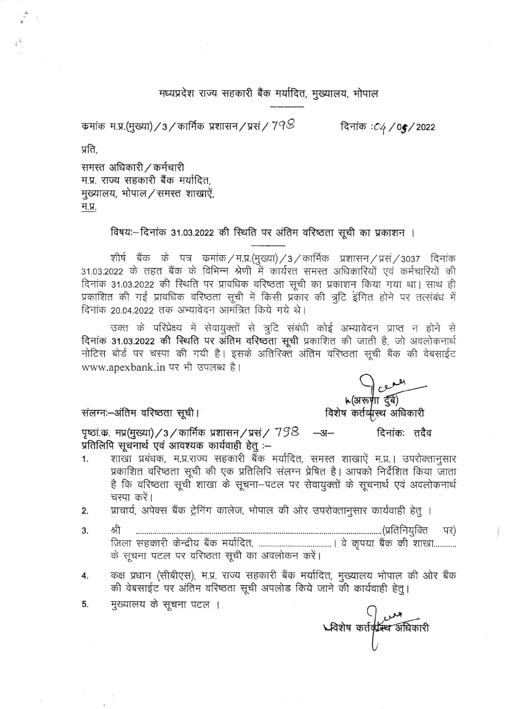मध्यप्रदेश राज्य सहकारी बैंक मर्यादित, मुख्यालय, भोपाल

कमांक म.प्र.(मुख्या) / 3 / कार्मिक प्रशासन / प्रसं /  $7$ 9 $\otimes$ 

दिनांक : 04 / 05 / 2022

प्रति,

समस्त अधिकारी / कर्मचारी म.प्र. राज्य सहकारी बैंक मर्यादित, मुख्यालय, भोपाल/समस्त शाखाऐं, म.प्र.

विषयः-दिनांक 31.03.2022 की स्थिति पर अंतिम वरिष्ठता सूची का प्रकाशन ।

शीर्ष बैंक के पत्र कमांक/म.प्र.(मुख्या)/3/कार्मिक प्रशासन/प्रसं/3037 दिनांक 31.03.2022 के तहत बैंक के विभिन्न श्रेणी में कार्यरत समस्त अधिकारियों एवं कर्मचारियों की दिनांक 31.03.2022 की स्थिति पर प्रावधिक वरिष्ठता सूची का प्रकाशन किया गया था। साथ ही प्रकाशित की गई प्रावधिक वरिष्ठता सूची में किसी प्रकार की त्रुटि इंगित होने पर तत्संबंध में दिनांक 20.04.2022 तक अभ्यावेदन आमंत्रित किये गये थे।

उक्त के परिप्रेक्ष्य में सेवायुक्तों से त्रुटि संबंधी कोई अभ्यावेदन प्राप्त न होने से दिनांक 31.03.2022 की स्थिति पर अंतिम वरिष्ठता सूची प्रकाशित की जाती है, जो अवलोकनार्थ नोटिस बोर्ड पर चस्पा की गयी है। इसके अतिरिक्त अंतिम वरिष्ठता सूची बैंक की वेबसाईट www.apexbank.in पर भी उपलब्ध है।

संलग्नः-अंतिम वरिष्ठता सूची।

سطری |<br>لاه الله الله الله الله من الله<br>विशेष कर्तव्युस्थ अधिकारी

पृष्ठां क. मप्र(मुख्या) / 3 / कार्मिक प्रशासन / प्रसं /  $798$  –अ– दिनांकः तदैव प्रतिलिपि सूचनार्थ एवं आवश्यक कार्यवाही हेतू :--

शाखा प्रबंधक, म.प्र.राज्य सहकारी बैंक मर्यादित, समस्त शाखाऐं म.प्र.। उपरोक्तानुसार  $1.$ प्रकाशित वरिष्ठता सूची की एक प्रतिलिपि संलग्न प्रेषित है। आपको निर्देशित किया जाता है कि वरिष्ठता सूची शाखा के सूचना-पटल पर सेवायुक्तों के सूचनार्थ एवं अवलोकनार्थ चस्पा करें।

प्राचार्य, अपेक्स बैंक ट्रेनिंग कालेज, भोपाल की ओर उपरोक्तानुसार कार्यवाही हेतु ।  $2.$ 

- श्री 3. पर) के सूचना पटल पर वरिष्ठता सूची का अवलोकन करें।
- कक्ष प्रधान (सीबीएस), म.प्र. राज्य सहकारी बैंक मर्यादित, मुख्यालय भोपाल की ओर बैंक 4. की वेबसाईट पर अंतिम वरिष्ठता सूची अपलोड किये जाने की कार्यवाही हेतू।
- 5. मुख्यालय के सूचना पटल ।

مس ()<br>المستعمل العبوية المجمع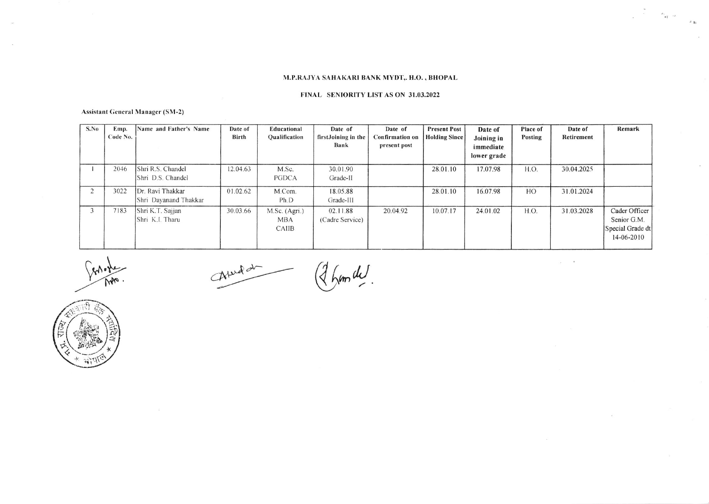## M.P.RAJYA SAHAKARI BANK MYDT, H.O., BHOPAL

 $\label{eq:2.1} \begin{array}{ccccc} \omega & & & & \\ & \omega & & & & \\ & & \omega & & & \\ & & & \omega & & \\ & & & & \omega & \\ \end{array}$ 

 $\overline{\omega}$  ,  $\overline{\omega}$ 

#### FINAL SENIORITY LIST AS ON 31.03.2022

#### **Assistant General Manager (SM-2)**

| S.No | Emp.<br>Code No. | Name and Father's Name                    | Date of<br><b>Birth</b> | Educational<br>Oualification                | Date of<br>firstJoining in the<br>Bank | Date of<br><b>Confirmation</b> on<br>present post | <b>Present Post</b><br><b>Holding Since</b> | Date of<br>Joining in<br>immediate<br>lower grade | Place of<br>Posting | Date of<br>Retirement | Remark                                                         |
|------|------------------|-------------------------------------------|-------------------------|---------------------------------------------|----------------------------------------|---------------------------------------------------|---------------------------------------------|---------------------------------------------------|---------------------|-----------------------|----------------------------------------------------------------|
|      | 2046             | Shri R.S. Chandel<br>IShri D.S. Chandel   | 12.04.63                | M.Sc.<br>PGDCA                              | 30.01.90<br>Grade-II                   |                                                   | 28.01.10                                    | 17.07.98                                          | H.O.                | 30.04.2025            |                                                                |
|      | 3022             | Dr. Ravi Thakkar<br>Shri Dayanand Thakkar | 01.02.62                | M.Com.<br>Ph.D                              | 18.05.88<br>Grade-III                  |                                                   | 28.01.10                                    | 16.07.98                                          | HO                  | 31.01.2024            |                                                                |
|      | 7183             | Shri K.T. Sajjan<br>Shri K.I. Tharu       | 30.03.66                | M.Sc. (Agri.)<br><b>MBA</b><br><b>CAIIB</b> | 02.11.88<br>(Cadre Service)            | 20.04.92                                          | 10.07.17                                    | 24.01.02                                          | H.O.                | 31.03.2028            | Cader Officer<br>Senior G.M.<br>Special Grade dt<br>14-06-2010 |

Aprild (2 hum de

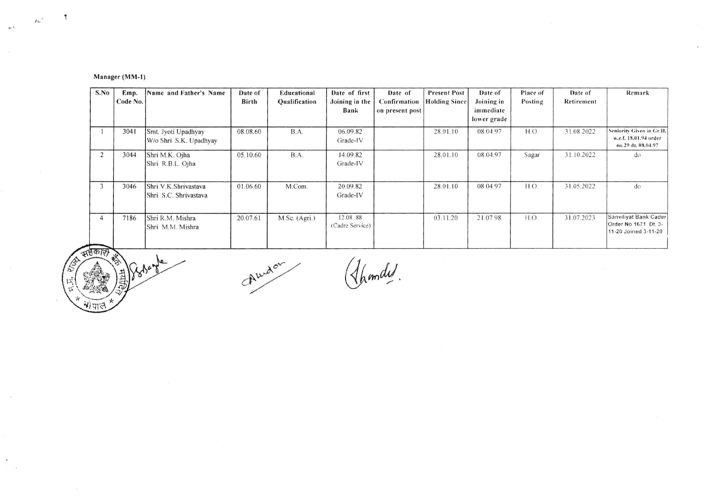# Manager (MM-1)

 $\overline{1}$ 

 $\mathcal{L}_{\text{th}}\big)^{A}$ 

 $\ll L$ 

 $\sim$ 

 $\sim$ 

 $\frac{1}{2}$  .  $\frac{1}{2}$ 

| S.No           | Emp.<br>Code No. | Name and Father's Name                        | Date of<br><b>Birth</b> | Educational<br>Qualification | Date of first<br>Joining in the<br>Bank | Date of<br>Confirmation<br>on present post | <b>Present Post</b><br><b>Holding Since</b> | Date of<br>Joining in<br>immediate<br>lower grade | Place of<br>Posting | Date of<br>Retirement | Remark                                                                   |
|----------------|------------------|-----------------------------------------------|-------------------------|------------------------------|-----------------------------------------|--------------------------------------------|---------------------------------------------|---------------------------------------------------|---------------------|-----------------------|--------------------------------------------------------------------------|
|                | 3041             | Smt. Jyoti Upadhyay<br>W/o Shri S.K. Upadhyay | 08.08.60                | B.A.                         | 06.09.82<br>Grade-IV                    |                                            | 28.01.10                                    | 08.04.97                                          | H.O.                | 31.08.2022            | Seniority Given in Gr.II,<br>w.e.f. 18.01.94 order<br>no.29 dt. 08.04.97 |
| $\overline{2}$ | 3044             | Shri M.K. Ojha<br>Shri R.B.L. Ojha            | 05.10.60                | B.A.                         | 14.09.82<br>Grade-IV                    |                                            | 28.01.10                                    | 08.04.97                                          | Sagar               | 31.10.2022            | do                                                                       |
| 3              | 3046             | Shri V.K.Shrivastava<br>Shri S.C. Shrivastava | 01.06.60                | M.Com.                       | 20.09.82<br>Grade-IV                    |                                            | 28.01.10                                    | 08.04.97                                          | H.O.                | 31.05.2022            | do                                                                       |
|                | 7186             | Shri R.M. Mishra<br>Shri M.M. Mishra          | 20.07.61                | M.Sc. (Agri.)                | 12.08.88<br>(Cadre Service)             |                                            | 03.11.20                                    | 21.07.98                                          | H.O.                | 31.07.2023            | Sanviliyat Bank Cader<br>Order No 1671 Dt. 3-<br>11-20 Joined 3-11-20    |

 $\mathcal{L}$ 

सहकार) listerte

Audan

( Ihandel.